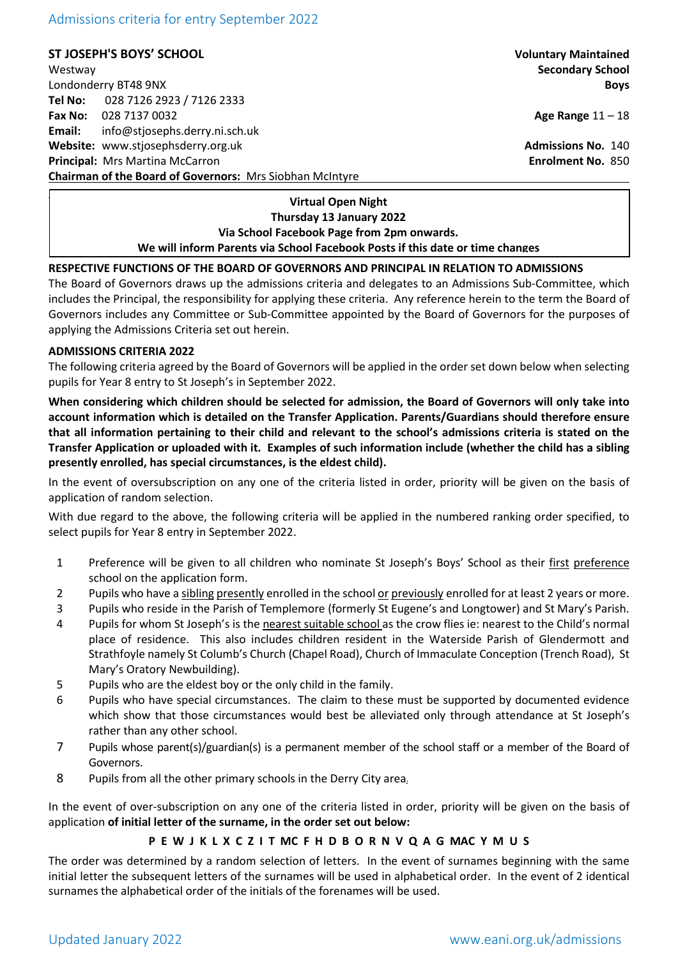Admissions criteria for entry September 2022

**ST JOSEPH'S BOYS' SCHOOL Voluntary Maintained**

Westway **Secondary School** Londonderry BT48 9NX **Boys Tel No:** 028 7126 2923 / 7126 2333 **Fax No:** 028 7137 0032 **Age Range** 11 – 18 **Email:** info@stjosephs.derry.ni.sch.uk **Website:** www.stjosephsderry.org.uk **Admissions No. 140** and No. 140 **Principal:** Mrs Martina McCarron **Enrolment No.** 850 **Chairman of the Board of Governors:** Mrs Siobhan McIntyre

**Virtual Open Night Thursday 13 January 2022 Via School Facebook Page from 2pm onwards. We will inform Parents via School Facebook Posts if this date or time changes**

## **RESPECTIVE FUNCTIONS OF THE BOARD OF GOVERNORS AND PRINCIPAL IN RELATION TO ADMISSIONS**

The Board of Governors draws up the admissions criteria and delegates to an Admissions Sub-Committee, which includes the Principal, the responsibility for applying these criteria. Any reference herein to the term the Board of Governors includes any Committee or Sub-Committee appointed by the Board of Governors for the purposes of applying the Admissions Criteria set out herein.

### **ADMISSIONS CRITERIA 2022**

The following criteria agreed by the Board of Governors will be applied in the order set down below when selecting pupils for Year 8 entry to St Joseph's in September 2022.

**When considering which children should be selected for admission, the Board of Governors will only take into account information which is detailed on the Transfer Application. Parents/Guardians should therefore ensure that all information pertaining to their child and relevant to the school's admissions criteria is stated on the Transfer Application or uploaded with it. Examples of such information include (whether the child has a sibling presently enrolled, has special circumstances, is the eldest child).**

In the event of oversubscription on any one of the criteria listed in order, priority will be given on the basis of application of random selection.

With due regard to the above, the following criteria will be applied in the numbered ranking order specified, to select pupils for Year 8 entry in September 2022.

- 1 Preference will be given to all children who nominate St Joseph's Boys' School as their first preference school on the application form.
- 2 Pupils who have a sibling presently enrolled in the school or previously enrolled for at least 2 years or more.
- 3 Pupils who reside in the Parish of Templemore (formerly St Eugene's and Longtower) and St Mary's Parish.
- 4 Pupils for whom St Joseph's is the nearest suitable school as the crow flies ie: nearest to the Child's normal place of residence. This also includes children resident in the Waterside Parish of Glendermott and Strathfoyle namely St Columb's Church (Chapel Road), Church of Immaculate Conception (Trench Road), St Mary's Oratory Newbuilding).
- 5 Pupils who are the eldest boy or the only child in the family.
- 6 Pupils who have special circumstances. The claim to these must be supported by documented evidence which show that those circumstances would best be alleviated only through attendance at St Joseph's rather than any other school.
- 7 Pupils whose parent(s)/guardian(s) is a permanent member of the school staff or a member of the Board of Governors.
- 8 Pupils from all the other primary schools in the Derry City area.

In the event of over-subscription on any one of the criteria listed in order, priority will be given on the basis of application **of initial letter of the surname, in the order set out below:**

# **P E W J K L X C Z I T MC F H D B O R N V Q A G MAC Y M U S**

The order was determined by a random selection of letters. In the event of surnames beginning with the same initial letter the subsequent letters of the surnames will be used in alphabetical order. In the event of 2 identical surnames the alphabetical order of the initials of the forenames will be used.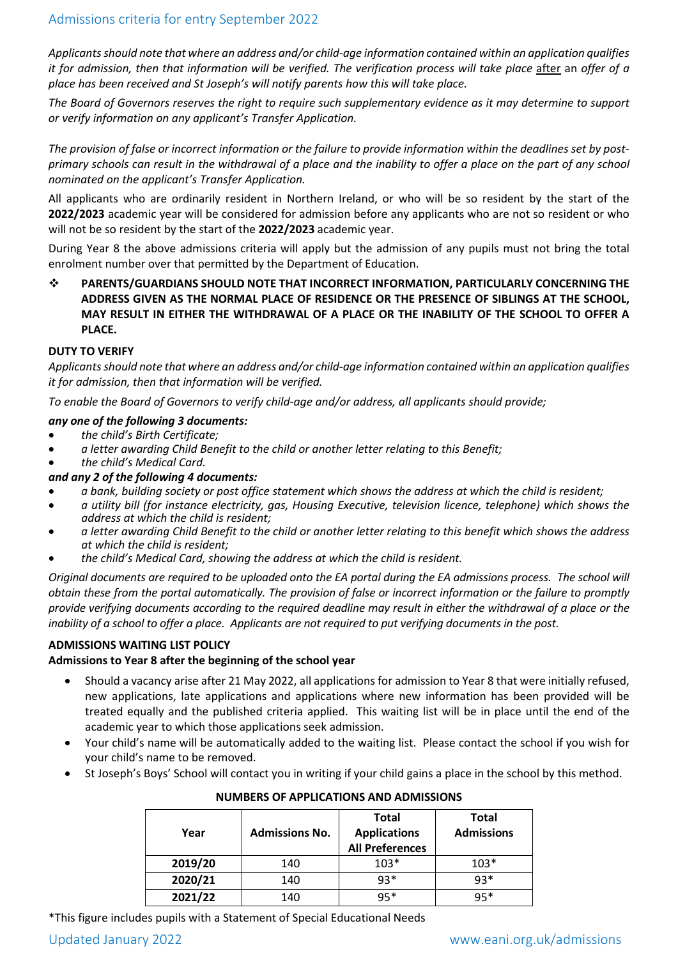*Applicants should note that where an address and/or child-age information contained within an application qualifies it for admission, then that information will be verified. The verification process will take place after an offer of a place has been received and St Joseph's will notify parents how this will take place.*

*The Board of Governors reserves the right to require such supplementary evidence as it may determine to support or verify information on any applicant's Transfer Application.*

*The provision of false or incorrect information or the failure to provide information within the deadlines set by postprimary schools can result in the withdrawal of a place and the inability to offer a place on the part of any school nominated on the applicant's Transfer Application.*

All applicants who are ordinarily resident in Northern Ireland, or who will be so resident by the start of the **2022/2023** academic year will be considered for admission before any applicants who are not so resident or who will not be so resident by the start of the **2022/2023** academic year.

During Year 8 the above admissions criteria will apply but the admission of any pupils must not bring the total enrolment number over that permitted by the Department of Education.

 **PARENTS/GUARDIANS SHOULD NOTE THAT INCORRECT INFORMATION, PARTICULARLY CONCERNING THE ADDRESS GIVEN AS THE NORMAL PLACE OF RESIDENCE OR THE PRESENCE OF SIBLINGS AT THE SCHOOL, MAY RESULT IN EITHER THE WITHDRAWAL OF A PLACE OR THE INABILITY OF THE SCHOOL TO OFFER A PLACE.**

### **DUTY TO VERIFY**

*Applicants should note that where an address and/or child-age information contained within an application qualifies it for admission, then that information will be verified.* 

*To enable the Board of Governors to verify child-age and/or address, all applicants should provide;* 

## *any one of the following 3 documents:*

- *the child's Birth Certificate;*
- *a letter awarding Child Benefit to the child or another letter relating to this Benefit;*
- *the child's Medical Card.*

### *and any 2 of the following 4 documents:*

- *a bank, building society or post office statement which shows the address at which the child is resident;*
- *a utility bill (for instance electricity, gas, Housing Executive, television licence, telephone) which shows the address at which the child is resident;*
- *a letter awarding Child Benefit to the child or another letter relating to this benefit which shows the address at which the child is resident;*
- *the child's Medical Card, showing the address at which the child is resident.*

*Original documents are required to be uploaded onto the EA portal during the EA admissions process. The school will obtain these from the portal automatically. The provision of false or incorrect information or the failure to promptly provide verifying documents according to the required deadline may result in either the withdrawal of a place or the inability of a school to offer a place. Applicants are not required to put verifying documents in the post.*

### **ADMISSIONS WAITING LIST POLICY**

### **Admissions to Year 8 after the beginning of the school year**

- Should a vacancy arise after 21 May 2022, all applications for admission to Year 8 that were initially refused, new applications, late applications and applications where new information has been provided will be treated equally and the published criteria applied. This waiting list will be in place until the end of the academic year to which those applications seek admission.
- Your child's name will be automatically added to the waiting list. Please contact the school if you wish for your child's name to be removed.
- St Joseph's Boys' School will contact you in writing if your child gains a place in the school by this method.

| Year    | <b>Admissions No.</b> | <b>Total</b><br><b>Applications</b><br><b>All Preferences</b> | Total<br><b>Admissions</b> |
|---------|-----------------------|---------------------------------------------------------------|----------------------------|
| 2019/20 | 140                   | $103*$                                                        | $103*$                     |
| 2020/21 | 140                   | $93*$                                                         | $93*$                      |
| 2021/22 | 140                   | $95*$                                                         | $95*$                      |

**NUMBERS OF APPLICATIONS AND ADMISSIONS**

\*This figure includes pupils with a Statement of Special Educational Needs